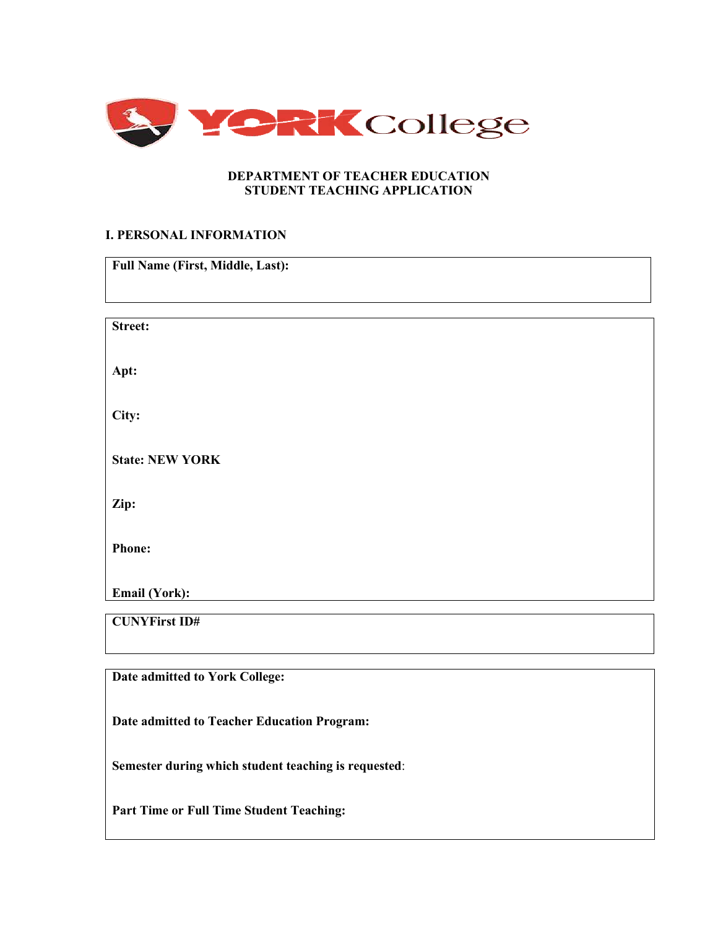

## **DEPARTMENT OF TEACHER EDUCATION STUDENT TEACHING APPLICATION**

## **I. PERSONAL INFORMATION**

| Street:<br>Apt:<br>City:<br><b>State: NEW YORK</b><br>Zip:<br><b>Phone:</b><br>Email (York):<br><b>CUNYFirst ID#</b> | <b>Full Name (First, Middle, Last):</b> |  |
|----------------------------------------------------------------------------------------------------------------------|-----------------------------------------|--|
|                                                                                                                      |                                         |  |
|                                                                                                                      |                                         |  |
|                                                                                                                      |                                         |  |
|                                                                                                                      |                                         |  |
|                                                                                                                      |                                         |  |
|                                                                                                                      |                                         |  |
|                                                                                                                      |                                         |  |
|                                                                                                                      |                                         |  |
|                                                                                                                      |                                         |  |
|                                                                                                                      |                                         |  |
|                                                                                                                      |                                         |  |
|                                                                                                                      |                                         |  |
|                                                                                                                      |                                         |  |
|                                                                                                                      |                                         |  |
|                                                                                                                      |                                         |  |
|                                                                                                                      |                                         |  |
| Date admitted to York College:                                                                                       |                                         |  |

**Date admitted to Teacher Education Program:** 

**Semester during which student teaching is requested**:

**Part Time or Full Time Student Teaching:**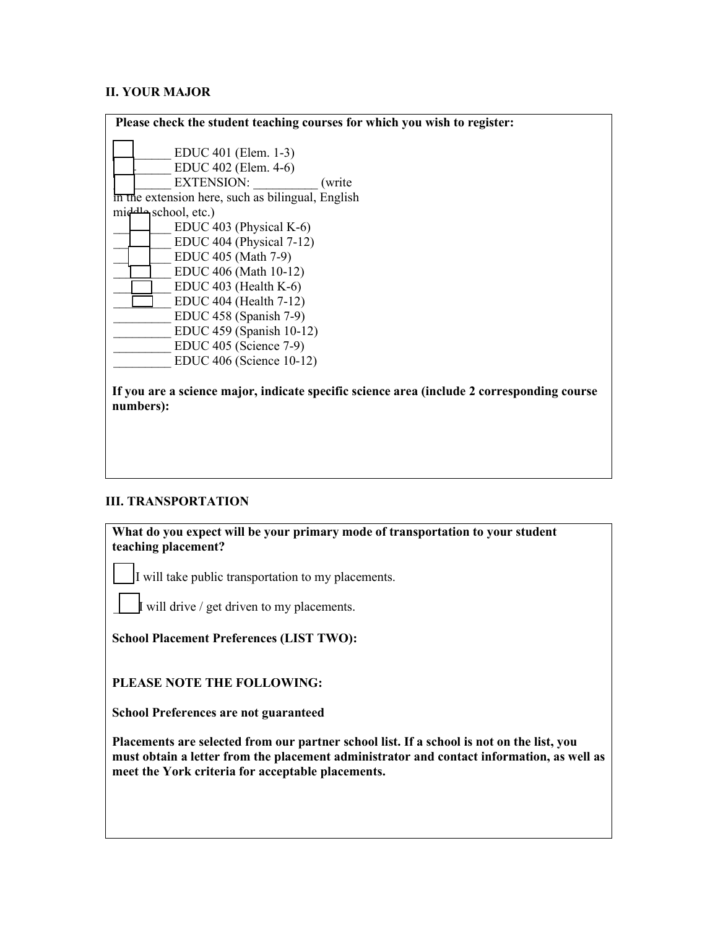# **II. YOUR MAJOR**

| Please check the student teaching courses for which you wish to register:                               |
|---------------------------------------------------------------------------------------------------------|
| EDUC 401 (Elem. 1-3)<br>EDUC 402 (Elem. 4-6)<br><b>EXTENSION:</b><br>(write)                            |
| in the extension here, such as bilingual, English                                                       |
| middle school, etc.)                                                                                    |
| EDUC 403 (Physical K-6)                                                                                 |
| EDUC 404 (Physical 7-12)                                                                                |
| EDUC 405 (Math 7-9)                                                                                     |
| EDUC 406 (Math 10-12)                                                                                   |
| EDUC $403$ (Health K-6)                                                                                 |
| EDUC 404 (Health 7-12)                                                                                  |
| EDUC 458 (Spanish 7-9)                                                                                  |
| EDUC 459 (Spanish 10-12)                                                                                |
| EDUC 405 (Science 7-9)                                                                                  |
| EDUC 406 (Science 10-12)                                                                                |
| If you are a science major, indicate specific science area (include 2 corresponding course<br>numbers): |

#### **III. TRANSPORTATION**

**What do you expect will be your primary mode of transportation to your student teaching placement?**

I will take public transportation to my placements.

 $\parallel$  will drive / get driven to my placements.

**School Placement Preferences (LIST TWO):** 

**PLEASE NOTE THE FOLLOWING:** 

**School Preferences are not guaranteed** 

**Placements are selected from our partner school list. If a school is not on the list, you must obtain a letter from the placement administrator and contact information, as well as meet the York criteria for acceptable placements.**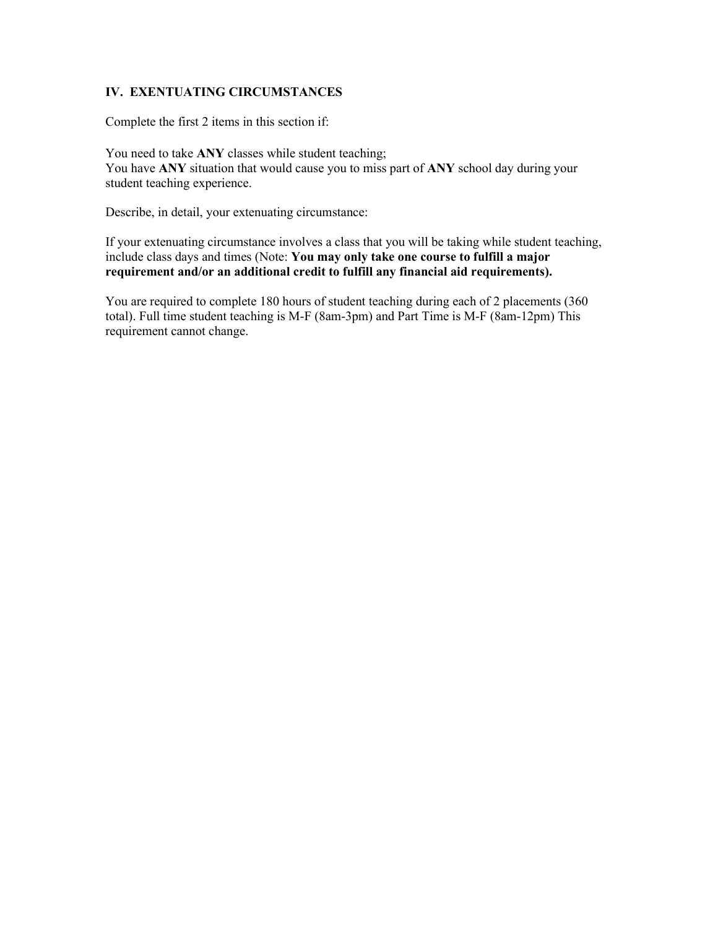### **IV. EXENTUATING CIRCUMSTANCES**

Complete the first 2 items in this section if:

You need to take **ANY** classes while student teaching; You have **ANY** situation that would cause you to miss part of **ANY** school day during your student teaching experience.

Describe, in detail, your extenuating circumstance:

If your extenuating circumstance involves a class that you will be taking while student teaching, include class days and times (Note: **You may only take one course to fulfill a major requirement and/or an additional credit to fulfill any financial aid requirements).** 

You are required to complete 180 hours of student teaching during each of 2 placements (360 total). Full time student teaching is M-F (8am-3pm) and Part Time is M-F (8am-12pm) This requirement cannot change.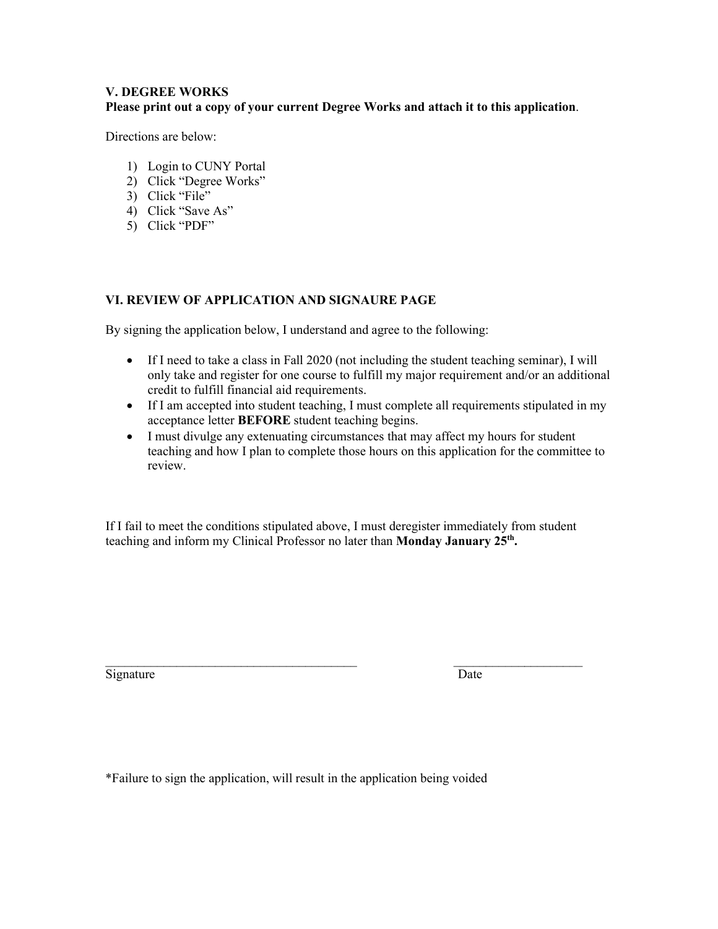### **V. DEGREE WORKS Please print out a copy of your current Degree Works and attach it to this application**.

Directions are below:

- 1) Login to CUNY Portal
- 2) Click "Degree Works"
- 3) Click "File"
- 4) Click "Save As"
- 5) Click "PDF"

# **VI. REVIEW OF APPLICATION AND SIGNAURE PAGE**

By signing the application below, I understand and agree to the following:

- If I need to take a class in Fall 2020 (not including the student teaching seminar), I will only take and register for one course to fulfill my major requirement and/or an additional credit to fulfill financial aid requirements.
- If I am accepted into student teaching, I must complete all requirements stipulated in my acceptance letter **BEFORE** student teaching begins.
- I must divulge any extenuating circumstances that may affect my hours for student teaching and how I plan to complete those hours on this application for the committee to review.

If I fail to meet the conditions stipulated above, I must deregister immediately from student teaching and inform my Clinical Professor no later than **Monday January 25th .** 

\_\_\_\_\_\_\_\_\_\_\_\_\_\_\_\_\_\_\_\_\_\_\_\_\_\_\_\_\_\_\_\_\_\_\_\_\_\_\_ \_\_\_\_\_\_\_\_\_\_\_\_\_\_\_\_\_\_\_\_ Signature Date

\*Failure to sign the application, will result in the application being voided